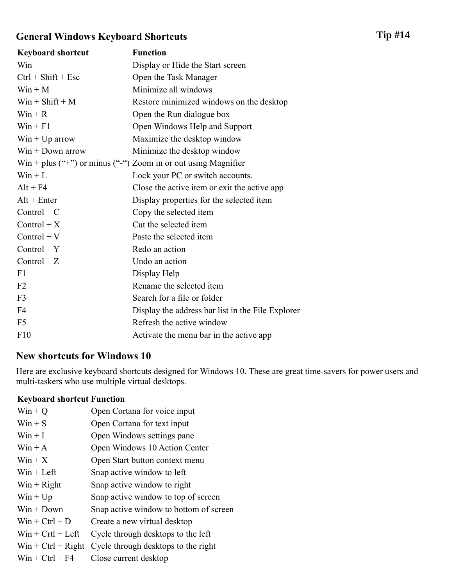## General Windows Keyboard Shortcuts

| <b>Keyboard shortcut</b> | <b>Function</b>                                                  |
|--------------------------|------------------------------------------------------------------|
| Win                      | Display or Hide the Start screen                                 |
| $Ctrl + Shift + Esc$     | Open the Task Manager                                            |
| $Win + M$                | Minimize all windows                                             |
| $Win + Shift + M$        | Restore minimized windows on the desktop                         |
| $Win + R$                | Open the Run dialogue box                                        |
| $Win + F1$               | Open Windows Help and Support                                    |
| $Win + Up arrow$         | Maximize the desktop window                                      |
| $Win + Down arrow$       | Minimize the desktop window                                      |
|                          | $Win + plus ("+")$ or minus ("-") Zoom in or out using Magnifier |
| $Win + L$                | Lock your PC or switch accounts.                                 |
| $Alt + F4$               | Close the active item or exit the active app                     |
| $Alt + Enter$            | Display properties for the selected item                         |
| $Control + C$            | Copy the selected item                                           |
| $Control + X$            | Cut the selected item                                            |
| $Control + V$            | Paste the selected item                                          |
| $Control + Y$            | Redo an action                                                   |
| $Control + Z$            | Undo an action                                                   |
| F1                       | Display Help                                                     |
| F <sub>2</sub>           | Rename the selected item                                         |
| F <sub>3</sub>           | Search for a file or folder                                      |
| F <sub>4</sub>           | Display the address bar list in the File Explorer                |
| F <sub>5</sub>           | Refresh the active window                                        |
| F10                      | Activate the menu bar in the active app                          |

## New shortcuts for Windows 10

Here are exclusive keyboard shortcuts designed for Windows 10. These are great time-savers for power users and multi-taskers who use multiple virtual desktops.

## Keyboard shortcut Function

| $Win + Q$            | Open Cortana for voice input           |
|----------------------|----------------------------------------|
| $Win + S$            | Open Cortana for text input            |
| $W$ in + I           | Open Windows settings pane             |
| $Win + A$            | Open Windows 10 Action Center          |
| $W$ in + $X$         | Open Start button context menu         |
| $Win + Left$         | Snap active window to left             |
| $Win + Right$        | Snap active window to right            |
| $Win + Up$           | Snap active window to top of screen    |
| $Win + Down$         | Snap active window to bottom of screen |
| $W$ in + Ctrl + D    | Create a new virtual desktop           |
| $Win + Crtl + Left$  | Cycle through desktops to the left     |
| $Win + Ctrl + Right$ | Cycle through desktops to the right    |
| $W$ in + Ctrl + F4   | Close current desktop                  |
|                      |                                        |